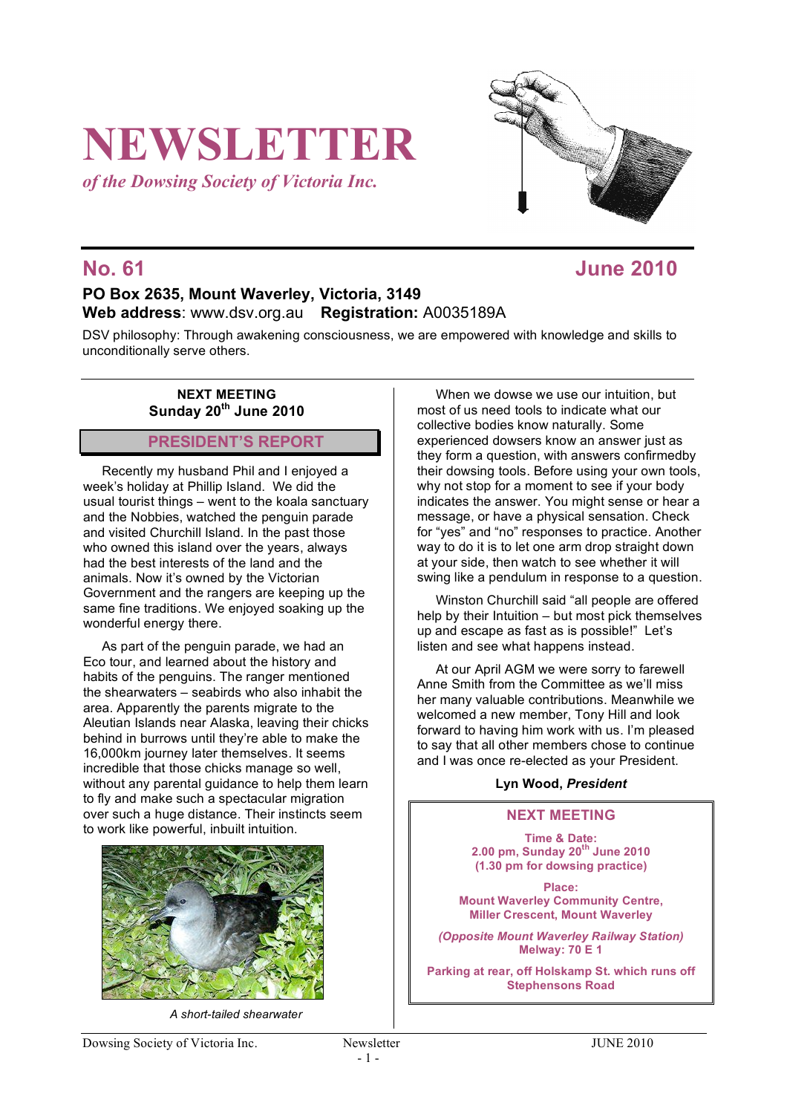# **NEWSLETTER**

*of the Dowsing Society of Victoria Inc.*



# **No. 61 June 2010**

# **PO Box 2635, Mount Waverley, Victoria, 3149 Web address**: www.dsv.org.au **Registration:** A0035189A

DSV philosophy: Through awakening consciousness, we are empowered with knowledge and skills to unconditionally serve others.

### **NEXT MEETING Sunday 20th June 2010**

# **PRESIDENT'S REPORT**

Recently my husband Phil and I enjoyed a week's holiday at Phillip Island. We did the usual tourist things – went to the koala sanctuary and the Nobbies, watched the penguin parade and visited Churchill Island. In the past those who owned this island over the years, always had the best interests of the land and the animals. Now it's owned by the Victorian Government and the rangers are keeping up the same fine traditions. We enjoyed soaking up the wonderful energy there.

As part of the penguin parade, we had an Eco tour, and learned about the history and habits of the penguins. The ranger mentioned the shearwaters – seabirds who also inhabit the area. Apparently the parents migrate to the Aleutian Islands near Alaska, leaving their chicks behind in burrows until they're able to make the 16,000km journey later themselves. It seems incredible that those chicks manage so well, without any parental guidance to help them learn to fly and make such a spectacular migration over such a huge distance. Their instincts seem to work like powerful, inbuilt intuition.



*A short-tailed shearwater*

When we dowse we use our intuition, but most of us need tools to indicate what our collective bodies know naturally. Some experienced dowsers know an answer just as they form a question, with answers confirmedby their dowsing tools. Before using your own tools, why not stop for a moment to see if your body indicates the answer. You might sense or hear a message, or have a physical sensation. Check for "yes" and "no" responses to practice. Another way to do it is to let one arm drop straight down at your side, then watch to see whether it will swing like a pendulum in response to a question.

Winston Churchill said "all people are offered help by their Intuition – but most pick themselves up and escape as fast as is possible!" Let's listen and see what happens instead.

At our April AGM we were sorry to farewell Anne Smith from the Committee as we'll miss her many valuable contributions. Meanwhile we welcomed a new member, Tony Hill and look forward to having him work with us. I'm pleased to say that all other members chose to continue and I was once re-elected as your President.

### **Lyn Wood,** *President*

### **NEXT MEETING**

**Time & Date: 2.00 pm, Sunday 20th June 2010 (1.30 pm for dowsing practice)**

**Place: Mount Waverley Community Centre, Miller Crescent, Mount Waverley**

*(Opposite Mount Waverley Railway Station)* **Melway: 70 E 1**

**Parking at rear, off Holskamp St. which runs off Stephensons Road**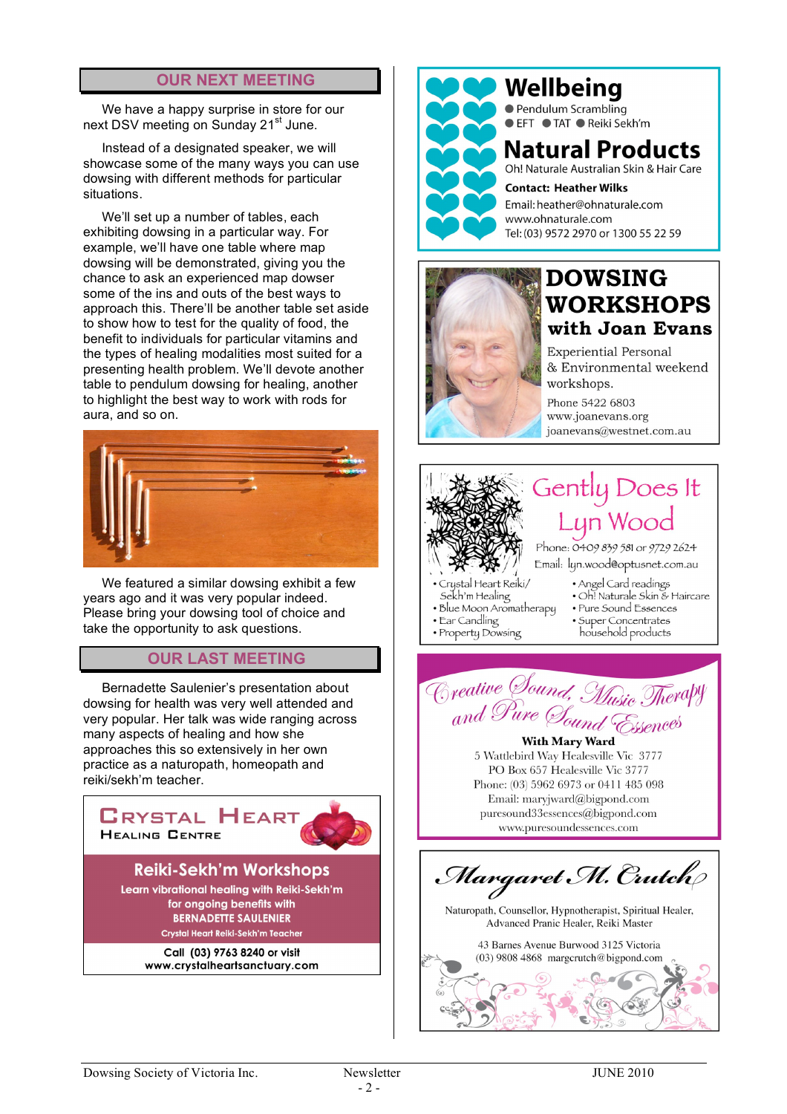## **OUR NEXT MEETING**

We have a happy surprise in store for our next DSV meeting on Sunday 21<sup>st</sup> June.

Instead of a designated speaker, we will showcase some of the many ways you can use dowsing with different methods for particular situations.

We'll set up a number of tables, each exhibiting dowsing in a particular way. For example, we'll have one table where map dowsing will be demonstrated, giving you the chance to ask an experienced map dowser some of the ins and outs of the best ways to approach this. There'll be another table set aside to show how to test for the quality of food, the benefit to individuals for particular vitamins and the types of healing modalities most suited for a presenting health problem. We'll devote another table to pendulum dowsing for healing, another to highlight the best way to work with rods for aura, and so on.



We featured a similar dowsing exhibit a few years ago and it was very popular indeed. Please bring your dowsing tool of choice and take the opportunity to ask questions.

## **OUR LAST MEETING**

Bernadette Saulenier's presentation about dowsing for health was very well attended and very popular. Her talk was wide ranging across many aspects of healing and how she approaches this so extensively in her own practice as a naturopath, homeopath and reiki/sekh'm teacher.





Wellbeing ● Pendulum Scrambling ● EFT ● TAT ● Reiki Sekh'm

# **Natural Products**

Oh! Naturale Australian Skin & Hair Care

**Contact: Heather Wilks** Email: heather@ohnaturale.com www.ohnaturale.com Tel: (03) 9572 2970 or 1300 55 22 59



# **DOWSING WORKSHOPS** with Joan Evans

**Experiential Personal** & Environmental weekend workshops.

Phone 5422 6803 www.joanevans.org joanevans@westnet.com.au



Creative Sound, Music Therapy **With Mary Ward** 

5 Wattlebird Way Healesville Vic 3777 PO Box 657 Healesville Vic 3777 Phone: (03) 5962 6973 or 0411 485 098 Email: maryjward@bigpond.com puresound33essences@bigpond.com www.puresoundessences.com

Margaret M. Crutch

Naturopath, Counsellor, Hypnotherapist, Spiritual Healer, Advanced Pranic Healer, Reiki Master

43 Barnes Avenue Burwood 3125 Victoria  $(03)$  9808 4868 margerutch@bigpond.com